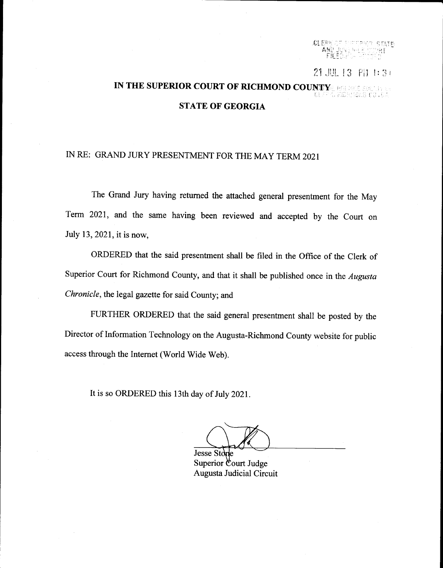f,l Iri)i' :: : :-:'i:r"''  $\Lambda\!/\!\!\!\chi$  $\tt{FICDF}$ 1J i

21 JUL 13 PM 1:31

# IN THE SUPERIOR COURT OF RICHMOND COUNTY, RELEASE SUPERIOR COURT OF RICHMOND COUNTY, RELEASE SUPERIOR STATE OF GEORGIA

## N RE: GRAND JURY PRESENTMENT FOR THE MAY TERM 2O2I

The Grand Jury having retumed the attached general presentment for the May Term 2021, and the same having been reviewed and accepted by the Court on July 13, 2021, it is now,

ORDERED that the said presentment shall be filed in the Office of the Clerk of Superior Court for Richmond County, and that it shall be published once in the Augusta Chronicle, the legal gazette for said County; and

FURTHER ORDERED that the said general presentment shall be posted by the Director of Information Technology on the Augusta-Richmond County website for public access through the Internet (World Wide Web).

lt is so ORDERED this l3th day of July 2021.

Jesse Sto Superior Court Judge Augusta Judicial Circuit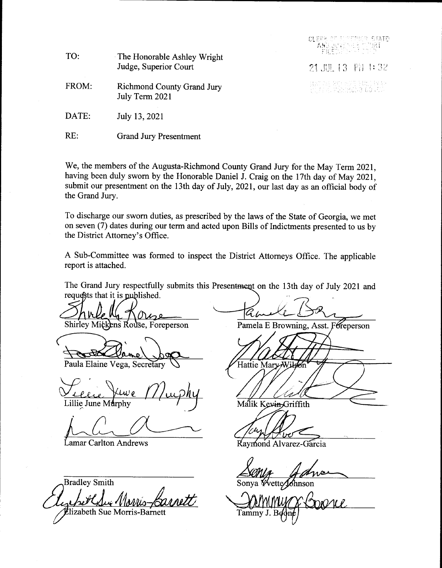| TO:   | The Honorable Ashley Wright<br>Judge, Superior Court | <b>CLERE OF ELTERER STATE</b><br>TANG JENESEER MART |  |
|-------|------------------------------------------------------|-----------------------------------------------------|--|
|       |                                                      | 21.胆13 階 1:32                                       |  |
| FROM: | <b>Richmond County Grand Jury</b><br>July Term 2021  | ogarde, 25 ASS St. Hvar<br>Og 27 A Friddelig Clofs  |  |
| DATE: | July 13, 2021                                        |                                                     |  |
| RE:   | <b>Grand Jury Presentment</b>                        |                                                     |  |

We, the members of the Augusta-Richmond County Grand Jury for the May Term 2021, having been duly sworn by the Honorable Daniel J. Craig on the 17th day of May 2021, submit our presentment on the l3th day of July,202l, our last day as an official body of the Grand Jury.

To discharge our sworn duties, as prescribed by the laws of the State of Georgia, we met on seven (7) dates during our term and acted upon Bills of Indictments presented to us by the District Attorney's Office.

A Sub-Committee was formed to inspect the District Attorneys Office. The applicable report is attached.

The Grand Jury respectfully submits this Presentment on the 13th day of July 2021 and requests that it is published.

Oise Shirley Mickens Rouse, Foreperson

Paula Elaine Vega,

Lillie June Murphy

Lamar Carlton Andrews

Bradley Smith lizabeth Sue Morris-Barnett

Pamela E Browning, Asst. Foreperson

Hattie Mary

Malik Kevin Griffith

مهوا

Raymond Alvarez-Garcia

Sonya Wette Johnson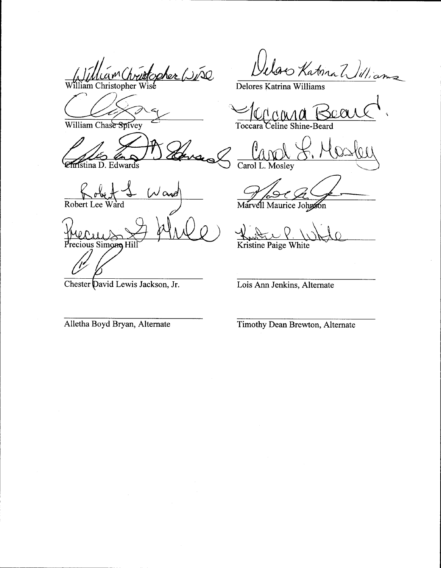am Christopher (2150 am Christopher

William Chase Spivey

Istina D. Edwards

ممم Robert Lee

Precious Simone Hil

Chester David Lewis Jackson, Jr.

lar Katina William

Delores Katrina Williams

Toccara eline Shine-Beard

Carol L. Mosley

Marvell Maurice Johnson

Kristine Paige White

Lois Ann Jenkins, Alternate

Alletha Boyd Bryan, Alternate

Timothy Dean Brewton, Alternate